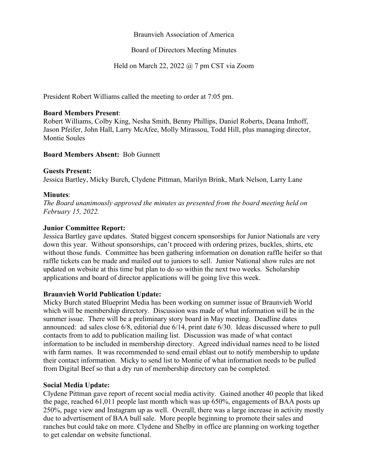### Braunvieh Association of America

### Board of Directors Meeting Minutes

### Held on March 22, 2022 @ 7 pm CST via Zoom

President Robert Williams called the meeting to order at 7:05 pm.

### **Board Members Present**:

Robert Williams, Colby King, Nesha Smith, Benny Phillips, Daniel Roberts, Deana Imhoff, Jason Pfeifer, John Hall, Larry McAfee, Molly Mirassou, Todd Hill, plus managing director, Montie Soules

### **Board Members Absent:** Bob Gunnett

#### **Guests Present:**

Jessica Bartley, Micky Burch, Clydene Pittman, Marilyn Brink, Mark Nelson, Larry Lane

### **Minutes**:

*The Board unanimously approved the minutes as presented from the board meeting held on February 15, 2022.*

### **Junior Committee Report:**

Jessica Bartley gave updates. Stated biggest concern sponsorships for Junior Nationals are very down this year. Without sponsorships, can't proceed with ordering prizes, buckles, shirts, etc without those funds. Committee has been gathering information on donation raffle heifer so that raffle tickets can be made and mailed out to juniors to sell. Junior National show rules are not updated on website at this time but plan to do so within the next two weeks. Scholarship applications and board of director applications will be going live this week.

### **Braunvieh World Publication Update:**

Micky Burch stated Blueprint Media has been working on summer issue of Braunvieh World which will be membership directory. Discussion was made of what information will be in the summer issue. There will be a preliminary story board in May meeting. Deadline dates announced: ad sales close 6/8, editorial due 6/14, print date 6/30. Ideas discussed where to pull contacts from to add to publication mailing list. Discussion was made of what contact information to be included in membership directory. Agreed individual names need to be listed with farm names. It was recommended to send email eblast out to notify membership to update their contact information. Micky to send list to Montie of what information needs to be pulled from Digital Beef so that a dry run of membership directory can be completed.

### **Social Media Update:**

Clydene Pittman gave report of recent social media activity. Gained another 40 people that liked the page, reached 61,011 people last month which was up 650%, engagements of BAA posts up 250%, page view and Instagram up as well. Overall, there was a large increase in activity mostly due to advertisement of BAA bull sale. More people beginning to promote their sales and ranches but could take on more. Clydene and Shelby in office are planning on working together to get calendar on website functional.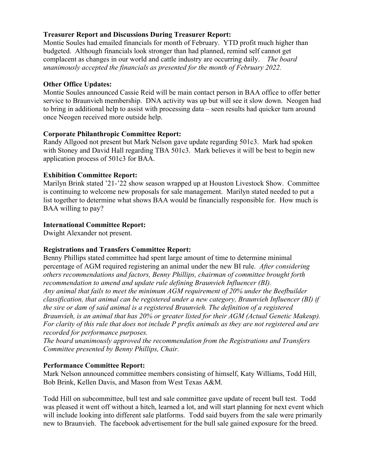## **Treasurer Report and Discussions During Treasurer Report:**

Montie Soules had emailed financials for month of February. YTD profit much higher than budgeted. Although financials look stronger than had planned, remind self cannot get complacent as changes in our world and cattle industry are occurring daily. *The board unanimously accepted the financials as presented for the month of February 2022.*

## **Other Office Updates:**

Montie Soules announced Cassie Reid will be main contact person in BAA office to offer better service to Braunvieh membership. DNA activity was up but will see it slow down. Neogen had to bring in additional help to assist with processing data – seen results had quicker turn around once Neogen received more outside help.

### **Corporate Philanthropic Committee Report:**

Randy Allgood not present but Mark Nelson gave update regarding 501c3. Mark had spoken with Stoney and David Hall regarding TBA 501c3. Mark believes it will be best to begin new application process of 501c3 for BAA.

## **Exhibition Committee Report:**

Marilyn Brink stated '21-'22 show season wrapped up at Houston Livestock Show. Committee is continuing to welcome new proposals for sale management. Marilyn stated needed to put a list together to determine what shows BAA would be financially responsible for. How much is BAA willing to pay?

## **International Committee Report:**

Dwight Alexander not present.

# **Registrations and Transfers Committee Report:**

Benny Phillips stated committee had spent large amount of time to determine minimal percentage of AGM required registering an animal under the new BI rule. *After considering others recommendations and factors, Benny Phillips, chairman of committee brought forth recommendation to amend and update rule defining Braunvieh Influencer (BI). Any animal that fails to meet the minimum AGM requirement of 20% under the Beefbuilder classification, that animal can be registered under a new category, Braunvieh Influencer (BI) if the sire or dam of said animal is a registered Braunvieh. The definition of a registered Braunvieh, is an animal that has 20% or greater listed for their AGM (Actual Genetic Makeup). For clarity of this rule that does not include P prefix animals as they are not registered and are recorded for performance purposes.* 

*The board unanimously approved the recommendation from the Registrations and Transfers Committee presented by Benny Phillips, Chair.*

### **Performance Committee Report:**

Mark Nelson announced committee members consisting of himself, Katy Williams, Todd Hill, Bob Brink, Kellen Davis, and Mason from West Texas A&M.

Todd Hill on subcommittee, bull test and sale committee gave update of recent bull test. Todd was pleased it went off without a hitch, learned a lot, and will start planning for next event which will include looking into different sale platforms. Todd said buyers from the sale were primarily new to Braunvieh. The facebook advertisement for the bull sale gained exposure for the breed.